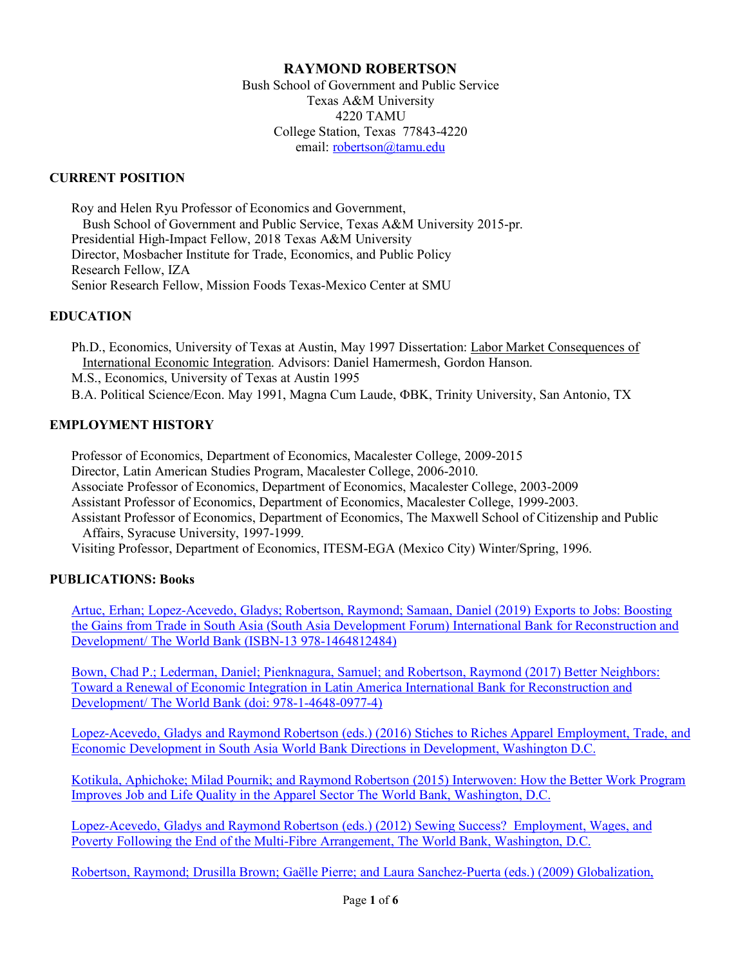# **RAYMOND ROBERTSON**

Bush School of Government and Public Service Texas A&M University 4220 TAMU College Station, Texas 77843-4220 email: robertson@tamu.edu

# **CURRENT POSITION**

Roy and Helen Ryu Professor of Economics and Government, Bush School of Government and Public Service, Texas A&M University 2015-pr. Presidential High-Impact Fellow, 2018 Texas A&M University Director, Mosbacher Institute for Trade, Economics, and Public Policy Research Fellow, IZA Senior Research Fellow, Mission Foods Texas-Mexico Center at SMU

### **EDUCATION**

Ph.D., Economics, University of Texas at Austin, May 1997 Dissertation: Labor Market Consequences of International Economic Integration. Advisors: Daniel Hamermesh, Gordon Hanson. M.S., Economics, University of Texas at Austin 1995 B.A. Political Science/Econ. May 1991, Magna Cum Laude, ΦBK, Trinity University, San Antonio, TX

### **EMPLOYMENT HISTORY**

Professor of Economics, Department of Economics, Macalester College, 2009-2015 Director, Latin American Studies Program, Macalester College, 2006-2010. Associate Professor of Economics, Department of Economics, Macalester College, 2003-2009 Assistant Professor of Economics, Department of Economics, Macalester College, 1999-2003. Assistant Professor of Economics, Department of Economics, The Maxwell School of Citizenship and Public Affairs, Syracuse University, 1997-1999. Visiting Professor, Department of Economics, ITESM-EGA (Mexico City) Winter/Spring, 1996.

# **PUBLICATIONS: Books**

Artuc, Erhan; Lopez-Acevedo, Gladys; Robertson, Raymond; Samaan, Daniel (2019) Exports to Jobs: Boosting the Gains from Trade in South Asia (South Asia Development Forum) International Bank for Reconstruction and Development/ The World Bank (ISBN-13 978-1464812484)

Bown, Chad P.; Lederman, Daniel; Pienknagura, Samuel; and Robertson, Raymond (2017) Better Neighbors: Toward a Renewal of Economic Integration in Latin America International Bank for Reconstruction and Development/ The World Bank (doi: 978-1-4648-0977-4)

Lopez-Acevedo, Gladys and Raymond Robertson (eds.) (2016) Stiches to Riches Apparel Employment, Trade, and Economic Development in South Asia World Bank Directions in Development, Washington D.C.

Kotikula, Aphichoke; Milad Pournik; and Raymond Robertson (2015) Interwoven: How the Better Work Program Improves Job and Life Quality in the Apparel Sector The World Bank, Washington, D.C.

Lopez-Acevedo, Gladys and Raymond Robertson (eds.) (2012) Sewing Success? Employment, Wages, and Poverty Following the End of the Multi-Fibre Arrangement, The World Bank, Washington, D.C.

Robertson, Raymond; Drusilla Brown; Gaëlle Pierre; and Laura Sanchez-Puerta (eds.) (2009) Globalization,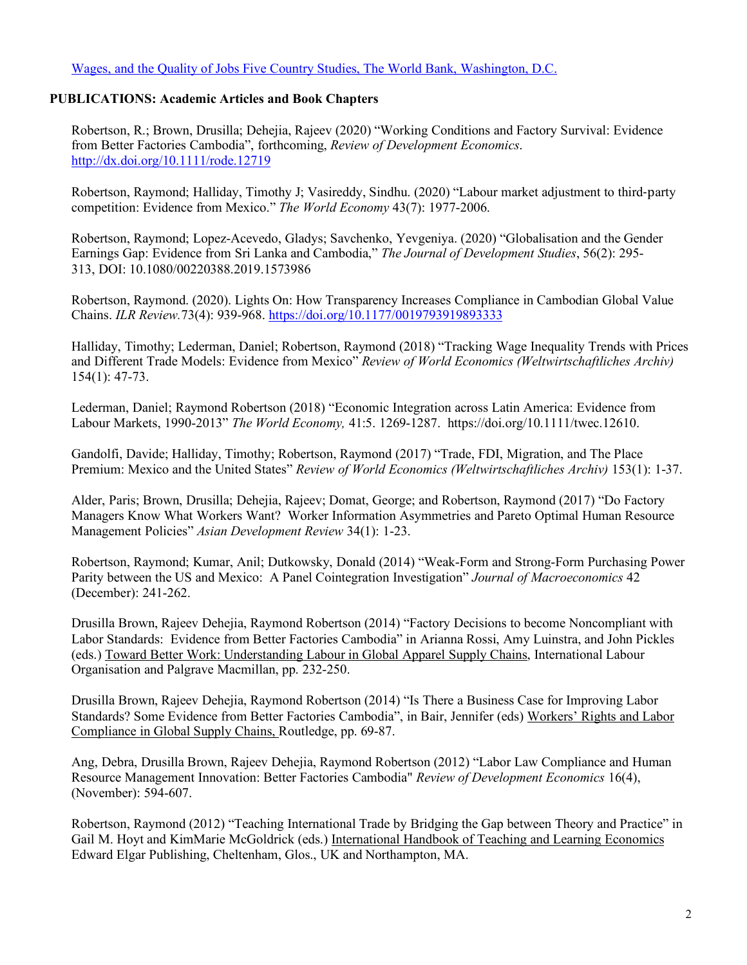Wages, and the Quality of Jobs Five Country Studies, The World Bank, Washington, D.C.

# **PUBLICATIONS: Academic Articles and Book Chapters**

Robertson, R.; Brown, Drusilla; Dehejia, Rajeev (2020) "Working Conditions and Factory Survival: Evidence from Better Factories Cambodia", forthcoming, *Review of Development Economics*. http://dx.doi.org/10.1111/rode.12719

Robertson, Raymond; Halliday, Timothy J; Vasireddy, Sindhu. (2020) "Labour market adjustment to third-party competition: Evidence from Mexico." *The World Economy* 43(7): 1977-2006.

Robertson, Raymond; Lopez-Acevedo, Gladys; Savchenko, Yevgeniya. (2020) "Globalisation and the Gender Earnings Gap: Evidence from Sri Lanka and Cambodia," *The Journal of Development Studies*, 56(2): 295- 313, DOI: 10.1080/00220388.2019.1573986

Robertson, Raymond. (2020). Lights On: How Transparency Increases Compliance in Cambodian Global Value Chains. *ILR Review.*73(4): 939-968. https://doi.org/10.1177/0019793919893333

Halliday, Timothy; Lederman, Daniel; Robertson, Raymond (2018) "Tracking Wage Inequality Trends with Prices and Different Trade Models: Evidence from Mexico" *Review of World Economics (Weltwirtschaftliches Archiv)* 154(1): 47-73.

Lederman, Daniel; Raymond Robertson (2018) "Economic Integration across Latin America: Evidence from Labour Markets, 1990-2013" *The World Economy,* 41:5. 1269-1287. https://doi.org/10.1111/twec.12610.

Gandolfi, Davide; Halliday, Timothy; Robertson, Raymond (2017) "Trade, FDI, Migration, and The Place Premium: Mexico and the United States" *Review of World Economics (Weltwirtschaftliches Archiv)* 153(1): 1-37.

Alder, Paris; Brown, Drusilla; Dehejia, Rajeev; Domat, George; and Robertson, Raymond (2017) "Do Factory Managers Know What Workers Want? Worker Information Asymmetries and Pareto Optimal Human Resource Management Policies" *Asian Development Review* 34(1): 1-23.

Robertson, Raymond; Kumar, Anil; Dutkowsky, Donald (2014) "Weak-Form and Strong-Form Purchasing Power Parity between the US and Mexico: A Panel Cointegration Investigation" *Journal of Macroeconomics* 42 (December): 241-262.

Drusilla Brown, Rajeev Dehejia, Raymond Robertson (2014) "Factory Decisions to become Noncompliant with Labor Standards: Evidence from Better Factories Cambodia" in Arianna Rossi, Amy Luinstra, and John Pickles (eds.) Toward Better Work: Understanding Labour in Global Apparel Supply Chains, International Labour Organisation and Palgrave Macmillan, pp. 232-250.

Drusilla Brown, Rajeev Dehejia, Raymond Robertson (2014) "Is There a Business Case for Improving Labor Standards? Some Evidence from Better Factories Cambodia", in Bair, Jennifer (eds) Workers' Rights and Labor Compliance in Global Supply Chains, Routledge, pp. 69-87.

Ang, Debra, Drusilla Brown, Rajeev Dehejia, Raymond Robertson (2012) "Labor Law Compliance and Human Resource Management Innovation: Better Factories Cambodia" *Review of Development Economics* 16(4), (November): 594-607.

Robertson, Raymond (2012) "Teaching International Trade by Bridging the Gap between Theory and Practice" in Gail M. Hoyt and KimMarie McGoldrick (eds.) International Handbook of Teaching and Learning Economics Edward Elgar Publishing, Cheltenham, Glos., UK and Northampton, MA.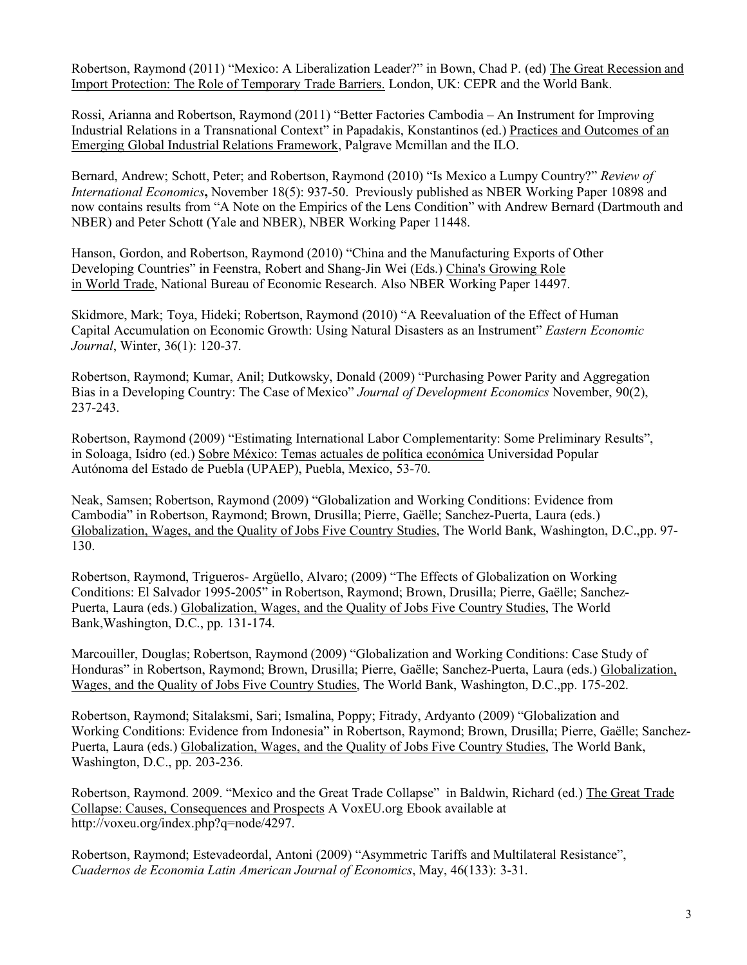Robertson, Raymond (2011) "Mexico: A Liberalization Leader?" in Bown, Chad P. (ed) The Great Recession and Import Protection: The Role of Temporary Trade Barriers. London, UK: CEPR and the World Bank.

Rossi, Arianna and Robertson, Raymond (2011) "Better Factories Cambodia – An Instrument for Improving Industrial Relations in a Transnational Context" in Papadakis, Konstantinos (ed.) Practices and Outcomes of an Emerging Global Industrial Relations Framework, Palgrave Mcmillan and the ILO.

Bernard, Andrew; Schott, Peter; and Robertson, Raymond (2010) "Is Mexico a Lumpy Country?" *Review of International Economics***,** November 18(5): 937-50. Previously published as NBER Working Paper 10898 and now contains results from "A Note on the Empirics of the Lens Condition" with Andrew Bernard (Dartmouth and NBER) and Peter Schott (Yale and NBER), NBER Working Paper 11448.

Hanson, Gordon, and Robertson, Raymond (2010) "China and the Manufacturing Exports of Other Developing Countries" in Feenstra, Robert and Shang-Jin Wei (Eds.) China's Growing Role in World Trade, National Bureau of Economic Research. Also NBER Working Paper 14497.

Skidmore, Mark; Toya, Hideki; Robertson, Raymond (2010) "A Reevaluation of the Effect of Human Capital Accumulation on Economic Growth: Using Natural Disasters as an Instrument" *Eastern Economic Journal*, Winter, 36(1): 120-37.

Robertson, Raymond; Kumar, Anil; Dutkowsky, Donald (2009) "Purchasing Power Parity and Aggregation Bias in a Developing Country: The Case of Mexico" *Journal of Development Economics* November, 90(2), 237-243.

Robertson, Raymond (2009) "Estimating International Labor Complementarity: Some Preliminary Results", in Soloaga, Isidro (ed.) Sobre México: Temas actuales de política económica Universidad Popular Autónoma del Estado de Puebla (UPAEP), Puebla, Mexico, 53-70.

Neak, Samsen; Robertson, Raymond (2009) "Globalization and Working Conditions: Evidence from Cambodia" in Robertson, Raymond; Brown, Drusilla; Pierre, Gaëlle; Sanchez-Puerta, Laura (eds.) Globalization, Wages, and the Quality of Jobs Five Country Studies, The World Bank, Washington, D.C.,pp. 97- 130.

Robertson, Raymond, Trigueros- Argüello, Alvaro; (2009) "The Effects of Globalization on Working Conditions: El Salvador 1995-2005" in Robertson, Raymond; Brown, Drusilla; Pierre, Gaëlle; Sanchez-Puerta, Laura (eds.) Globalization, Wages, and the Quality of Jobs Five Country Studies, The World Bank,Washington, D.C., pp. 131-174.

Marcouiller, Douglas; Robertson, Raymond (2009) "Globalization and Working Conditions: Case Study of Honduras" in Robertson, Raymond; Brown, Drusilla; Pierre, Gaëlle; Sanchez-Puerta, Laura (eds.) Globalization, Wages, and the Quality of Jobs Five Country Studies, The World Bank, Washington, D.C.,pp. 175-202.

Robertson, Raymond; Sitalaksmi, Sari; Ismalina, Poppy; Fitrady, Ardyanto (2009) "Globalization and Working Conditions: Evidence from Indonesia" in Robertson, Raymond; Brown, Drusilla; Pierre, Gaëlle; Sanchez-Puerta, Laura (eds.) Globalization, Wages, and the Quality of Jobs Five Country Studies, The World Bank, Washington, D.C., pp. 203-236.

Robertson, Raymond. 2009. "Mexico and the Great Trade Collapse" in Baldwin, Richard (ed.) The Great Trade Collapse: Causes, Consequences and Prospects A VoxEU.org Ebook available at http://voxeu.org/index.php?q=node/4297.

Robertson, Raymond; Estevadeordal, Antoni (2009) "Asymmetric Tariffs and Multilateral Resistance", *Cuadernos de Economia Latin American Journal of Economics*, May, 46(133): 3-31.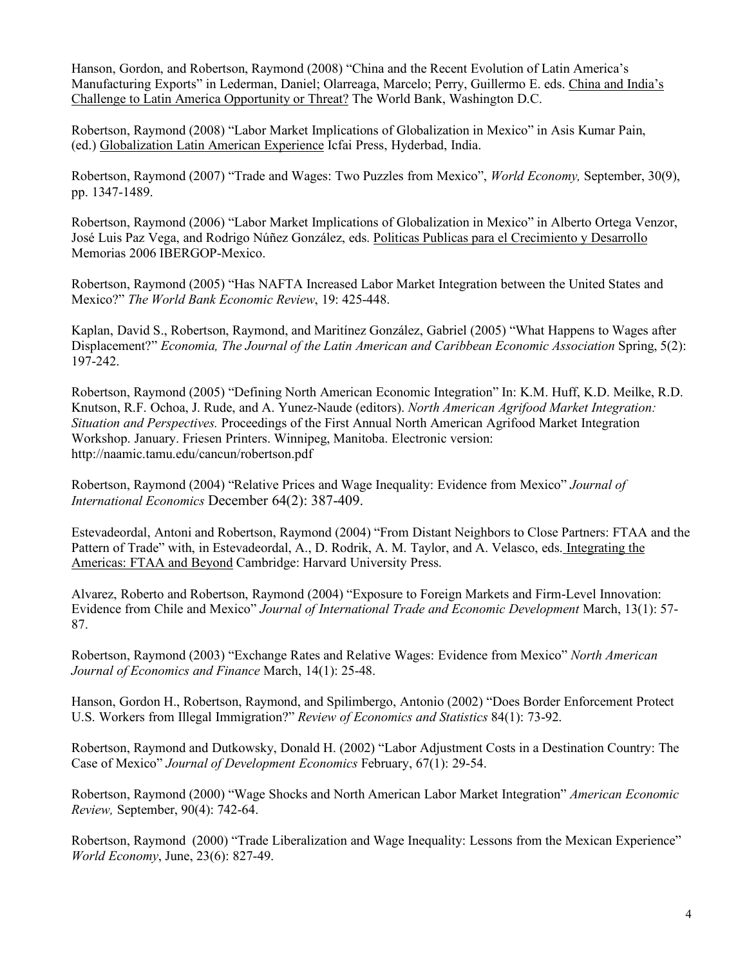Hanson, Gordon, and Robertson, Raymond (2008) "China and the Recent Evolution of Latin America's Manufacturing Exports" in Lederman, Daniel; Olarreaga, Marcelo; Perry, Guillermo E. eds. China and India's Challenge to Latin America Opportunity or Threat? The World Bank, Washington D.C.

Robertson, Raymond (2008) "Labor Market Implications of Globalization in Mexico" in Asis Kumar Pain, (ed.) Globalization Latin American Experience Icfai Press, Hyderbad, India.

Robertson, Raymond (2007) "Trade and Wages: Two Puzzles from Mexico", *World Economy,* September, 30(9), pp. 1347-1489.

Robertson, Raymond (2006) "Labor Market Implications of Globalization in Mexico" in Alberto Ortega Venzor, José Luis Paz Vega, and Rodrigo Núñez González, eds. Politicas Publicas para el Crecimiento y Desarrollo Memorias 2006 IBERGOP-Mexico.

Robertson, Raymond (2005) "Has NAFTA Increased Labor Market Integration between the United States and Mexico?" *The World Bank Economic Review*, 19: 425-448.

Kaplan, David S., Robertson, Raymond, and Maritínez González, Gabriel (2005) "What Happens to Wages after Displacement?" *Economia, The Journal of the Latin American and Caribbean Economic Association* Spring, 5(2): 197-242.

Robertson, Raymond (2005) "Defining North American Economic Integration" In: K.M. Huff, K.D. Meilke, R.D. Knutson, R.F. Ochoa, J. Rude, and A. Yunez-Naude (editors). *North American Agrifood Market Integration: Situation and Perspectives.* Proceedings of the First Annual North American Agrifood Market Integration Workshop. January. Friesen Printers. Winnipeg, Manitoba. Electronic version: http://naamic.tamu.edu/cancun/robertson.pdf

Robertson, Raymond (2004) "Relative Prices and Wage Inequality: Evidence from Mexico" *Journal of International Economics* December 64(2): 387-409.

Estevadeordal, Antoni and Robertson, Raymond (2004) "From Distant Neighbors to Close Partners: FTAA and the Pattern of Trade" with, in Estevadeordal, A., D. Rodrik, A. M. Taylor, and A. Velasco, eds. Integrating the Americas: FTAA and Beyond Cambridge: Harvard University Press.

Alvarez, Roberto and Robertson, Raymond (2004) "Exposure to Foreign Markets and Firm-Level Innovation: Evidence from Chile and Mexico" *Journal of International Trade and Economic Development* March, 13(1): 57- 87.

Robertson, Raymond (2003) "Exchange Rates and Relative Wages: Evidence from Mexico" *North American Journal of Economics and Finance* March, 14(1): 25-48.

Hanson, Gordon H., Robertson, Raymond, and Spilimbergo, Antonio (2002) "Does Border Enforcement Protect U.S. Workers from Illegal Immigration?" *Review of Economics and Statistics* 84(1): 73-92.

Robertson, Raymond and Dutkowsky, Donald H. (2002) "Labor Adjustment Costs in a Destination Country: The Case of Mexico" *Journal of Development Economics* February, 67(1): 29-54.

Robertson, Raymond (2000) "Wage Shocks and North American Labor Market Integration" *American Economic Review,* September, 90(4): 742-64.

Robertson, Raymond (2000) "Trade Liberalization and Wage Inequality: Lessons from the Mexican Experience" *World Economy*, June, 23(6): 827-49.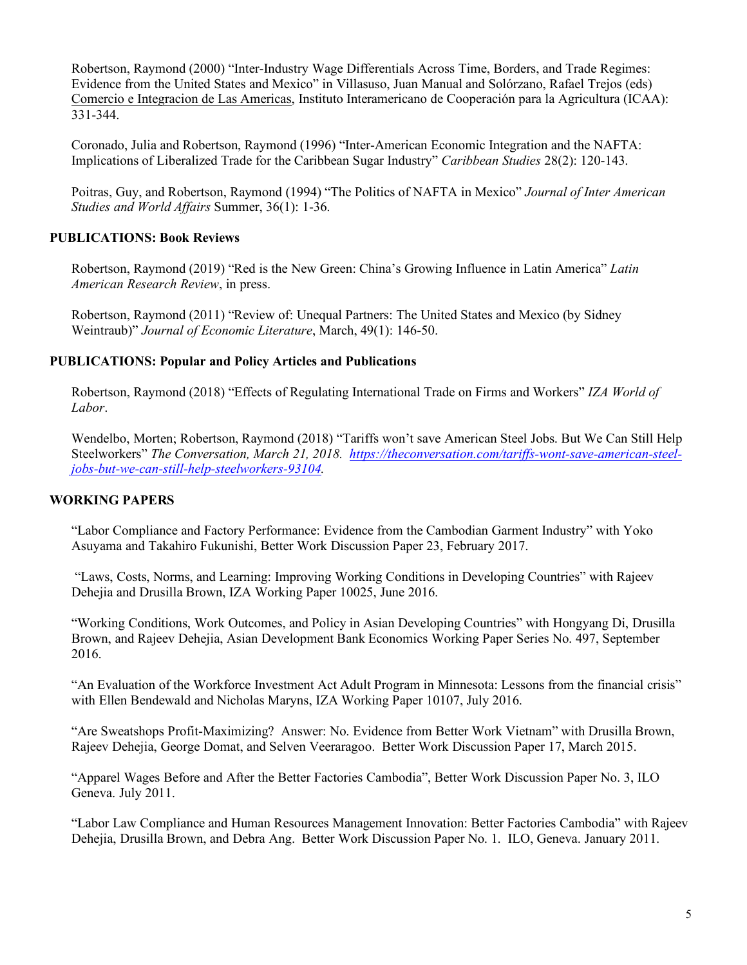Robertson, Raymond (2000) "Inter-Industry Wage Differentials Across Time, Borders, and Trade Regimes: Evidence from the United States and Mexico" in Villasuso, Juan Manual and Solórzano, Rafael Trejos (eds) Comercio e Integracion de Las Americas, Instituto Interamericano de Cooperación para la Agricultura (ICAA): 331-344.

Coronado, Julia and Robertson, Raymond (1996) "Inter-American Economic Integration and the NAFTA: Implications of Liberalized Trade for the Caribbean Sugar Industry" *Caribbean Studies* 28(2): 120-143.

Poitras, Guy, and Robertson, Raymond (1994) "The Politics of NAFTA in Mexico" *Journal of Inter American Studies and World Affairs* Summer, 36(1): 1-36.

## **PUBLICATIONS: Book Reviews**

Robertson, Raymond (2019) "Red is the New Green: China's Growing Influence in Latin America" *Latin American Research Review*, in press.

Robertson, Raymond (2011) "Review of: Unequal Partners: The United States and Mexico (by Sidney Weintraub)" *Journal of Economic Literature*, March, 49(1): 146-50.

### **PUBLICATIONS: Popular and Policy Articles and Publications**

Robertson, Raymond (2018) "Effects of Regulating International Trade on Firms and Workers" *IZA World of Labor*.

Wendelbo, Morten; Robertson, Raymond (2018) "Tariffs won't save American Steel Jobs. But We Can Still Help Steelworkers" *The Conversation, March 21, 2018. https://theconversation.com/tariffs-wont-save-american-steeljobs-but-we-can-still-help-steelworkers-93104.* 

#### **WORKING PAPERS**

"Labor Compliance and Factory Performance: Evidence from the Cambodian Garment Industry" with Yoko Asuyama and Takahiro Fukunishi, Better Work Discussion Paper 23, February 2017.

"Laws, Costs, Norms, and Learning: Improving Working Conditions in Developing Countries" with Rajeev Dehejia and Drusilla Brown, IZA Working Paper 10025, June 2016.

"Working Conditions, Work Outcomes, and Policy in Asian Developing Countries" with Hongyang Di, Drusilla Brown, and Rajeev Dehejia, Asian Development Bank Economics Working Paper Series No. 497, September 2016.

"An Evaluation of the Workforce Investment Act Adult Program in Minnesota: Lessons from the financial crisis" with Ellen Bendewald and Nicholas Maryns, IZA Working Paper 10107, July 2016.

"Are Sweatshops Profit-Maximizing? Answer: No. Evidence from Better Work Vietnam" with Drusilla Brown, Rajeev Dehejia, George Domat, and Selven Veeraragoo. Better Work Discussion Paper 17, March 2015.

"Apparel Wages Before and After the Better Factories Cambodia", Better Work Discussion Paper No. 3, ILO Geneva. July 2011.

"Labor Law Compliance and Human Resources Management Innovation: Better Factories Cambodia" with Rajeev Dehejia, Drusilla Brown, and Debra Ang. Better Work Discussion Paper No. 1. ILO, Geneva. January 2011.